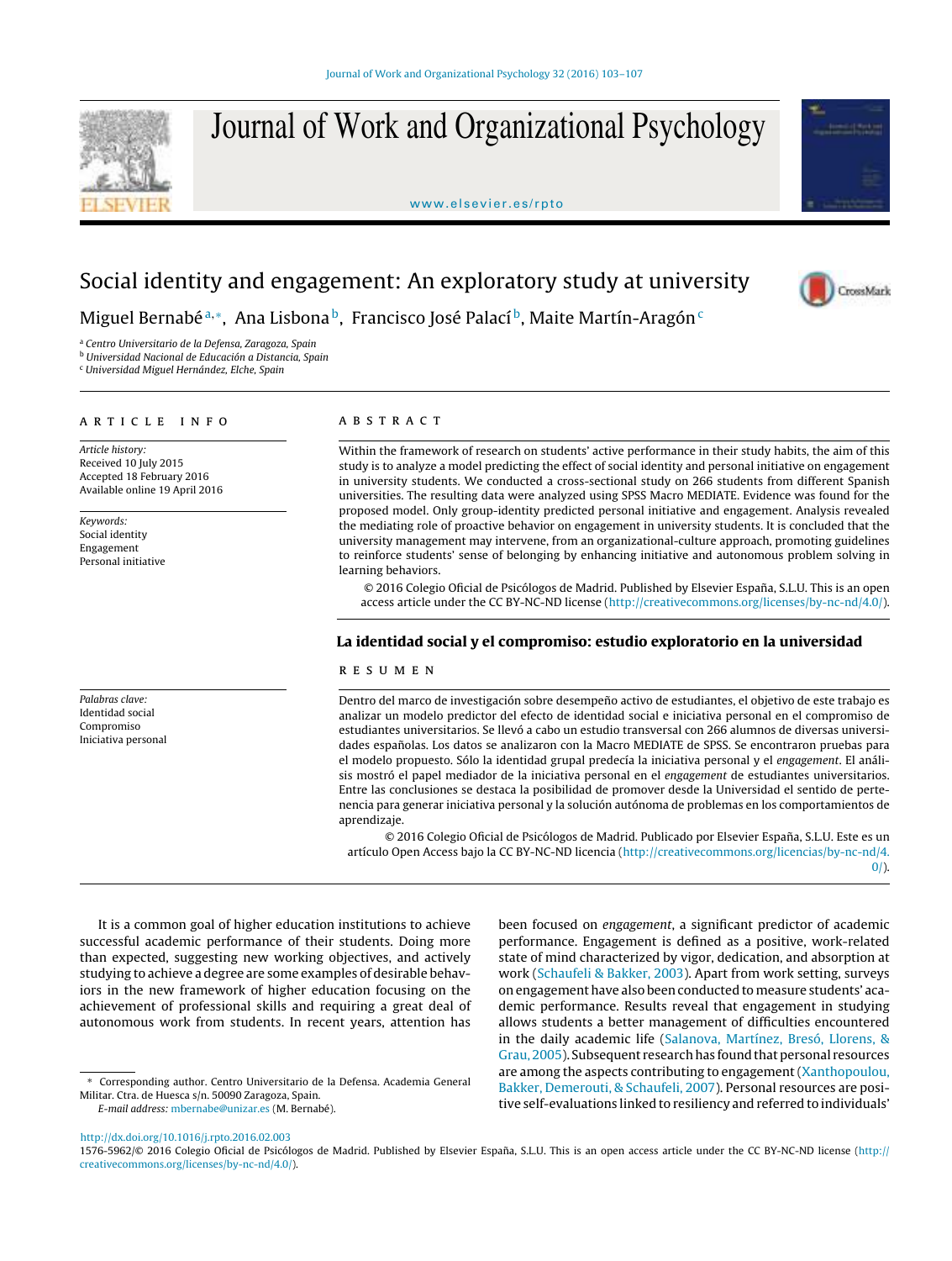

Journal of Work and Organizational Psychology

<www.elsevier.es/rpto>



CrossMark

# Social identity and engagement: An exploratory study at university

Miguel Bernabé™, Ana Lisbona<sup>b</sup>, Francisco José Palací<sup>b</sup>, Maite Martín-Aragón<sup>c</sup>

<sup>a</sup> Centro Universitario de la Defensa, Zaragoza, Spain

<sup>b</sup> Universidad Nacional de Educación a Distancia, Spain

<sup>c</sup> Universidad Miguel Hernández, Elche, Spain

## ARTICLE INFO

Article history: Received 10 July 2015 Accepted 18 February 2016 Available online 19 April 2016

Keywords: Social identity Engagement Personal initiative

Palabras clave: Identidad social Compromiso Iniciativa personal

# a b s t r a c t

Within the framework of research on students' active performance in their study habits, the aim of this study is to analyze a model predicting the effect of social identity and personal initiative on engagement in university students. We conducted a cross-sectional study on 266 students from different Spanish universities. The resulting data were analyzed using SPSS Macro MEDIATE. Evidence was found for the proposed model. Only group-identity predicted personal initiative and engagement. Analysis revealed the mediating role of proactive behavior on engagement in university students. It is concluded that the university management may intervene, from an organizational-culture approach, promoting guidelines to reinforce students' sense of belonging by enhancing initiative and autonomous problem solving in learning behaviors.

© 2016 Colegio Oficial de Psicólogos de Madrid. Published by Elsevier España, S.L.U. This is an open access article under the CC BY-NC-ND license [\(http://creativecommons.org/licenses/by-nc-nd/4.0/](http://creativecommons.org/licenses/by-nc-nd/4.0/)).

# La identidad social y el compromiso: estudio exploratorio en la universidad

# r e s u m e n

Dentro del marco de investigación sobre desempeño activo de estudiantes, el objetivo de este trabajo es analizar un modelo predictor del efecto de identidad social e iniciativa personal en el compromiso de estudiantes universitarios. Se llevó a cabo un estudio transversal con 266 alumnos de diversas universidades españolas. Los datos se analizaron con la Macro MEDIATE de SPSS. Se encontraron pruebas para el modelo propuesto. Sólo la identidad grupal predecía la iniciativa personal y el engagement. El análisis mostró el papel mediador de la iniciativa personal en el engagement de estudiantes universitarios. Entre las conclusiones se destaca la posibilidad de promover desde la Universidad el sentido de pertenencia para generar iniciativa personal y la solución autónoma de problemas en los comportamientos de aprendizaje.

© 2016 Colegio Oficial de Psicólogos de Madrid. Publicado por Elsevier España, S.L.U. Este es un artículo Open Access bajo la CC BY-NC-ND licencia [\(http://creativecommons.org/licencias/by-nc-nd/4.](http://creativecommons.org/licencias/by-nc-nd/4.0/)  $0/$ ).

It is a common goal of higher education institutions to achieve successful academic performance of their students. Doing more than expected, suggesting new working objectives, and actively studying to achieve a degree are some examples of desirable behaviors in the new framework of higher education focusing on the achievement of professional skills and requiring a great deal of autonomous work from students. In recent years, attention has

E-mail address: [mbernabe@unizar.es](mailto:mbernabe@unizar.es) (M. Bernabé).

been focused on engagement, a significant predictor of academic performance. Engagement is defined as a positive, work-related state of mind characterized by vigor, dedication, and absorption at work [\(Schaufeli](#page-4-0) [&](#page-4-0) [Bakker,](#page-4-0) [2003\).](#page-4-0) Apart from work setting, surveys on engagement have also been conducted tomeasure students' academic performance. Results reveal that engagement in studying allows students a better management of difficulties encountered in the daily academic life [\(Salanova,](#page-4-0) [Martínez,](#page-4-0) [Bresó,](#page-4-0) [Llorens,](#page-4-0) [&](#page-4-0) Grau, 2005). Subsequent research has found that personal resources are among the aspects contributing to engagement[\(Xanthopoulou,](#page-4-0) [Bakker,](#page-4-0) [Demerouti,](#page-4-0) [&](#page-4-0) [Schaufeli,](#page-4-0) [2007\).](#page-4-0) Personal resources are positive self-evaluations linked to resiliency and referred to individuals'

[http://dx.doi.org/10.1016/j.rpto.2016.02.003](dx.doi.org/10.1016/j.rpto.2016.02.003)

1576-5962/© 2016 Colegio Oficial de Psicólogos de Madrid. Published by Elsevier España, S.L.U. This is an open access article under the CC BY-NC-ND license ([http://](http://creativecommons.org/licenses/by-nc-nd/4.0/) [creativecommons.org/licenses/by-nc-nd/4.0/](http://creativecommons.org/licenses/by-nc-nd/4.0/)).

<sup>∗</sup> Corresponding author. Centro Universitario de la Defensa. Academia General Militar. Ctra. de Huesca s/n. 50090 Zaragoza, Spain.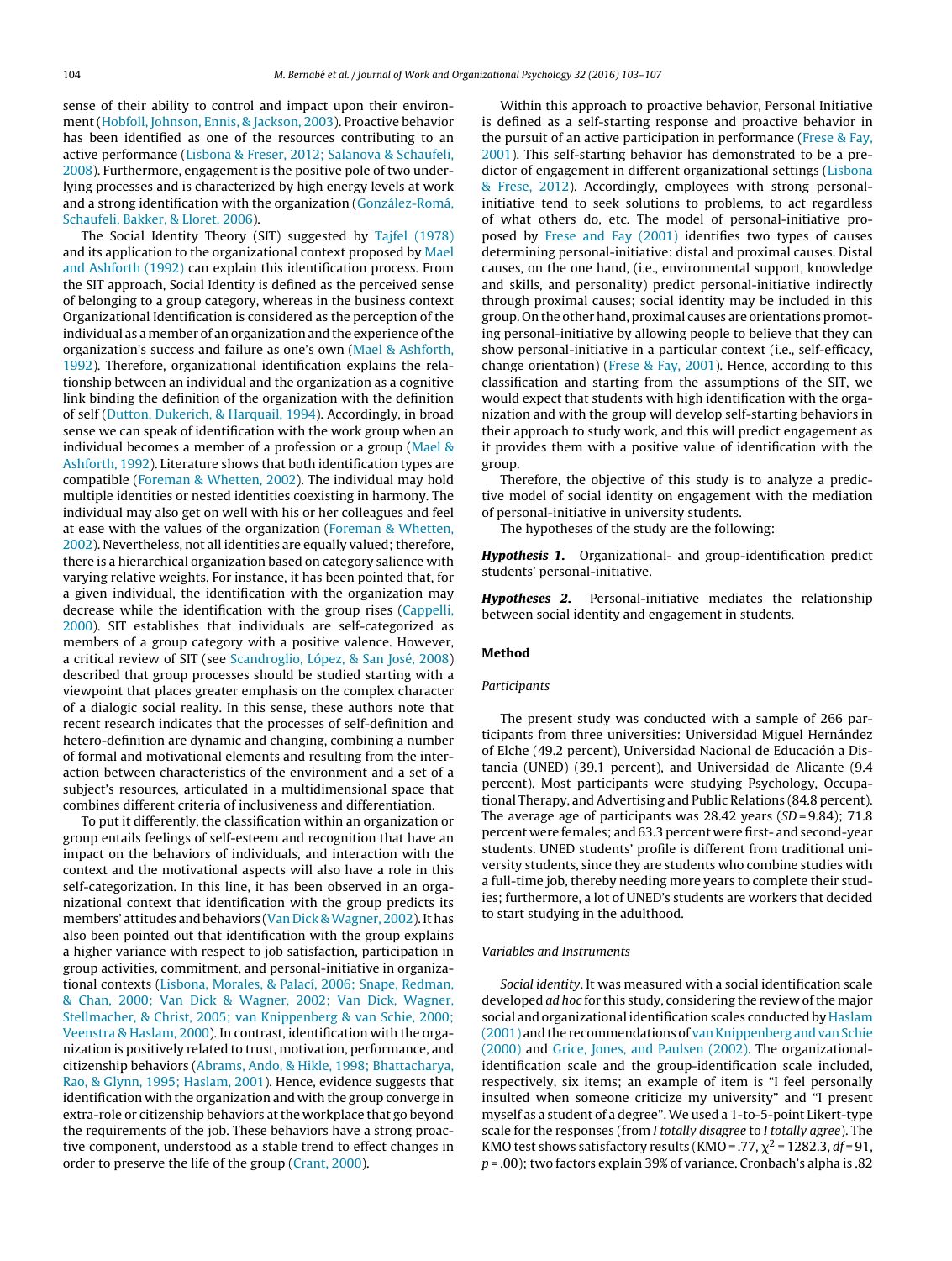sense of their ability to control and impact upon their environment ([Hobfoll,](#page-4-0) [Johnson,](#page-4-0) [Ennis,](#page-4-0) [&](#page-4-0) [Jackson,](#page-4-0) [2003\).](#page-4-0) Proactive behavior has been identified as one of the resources contributing to an active performance [\(Lisbona](#page-4-0) [&](#page-4-0) [Freser,](#page-4-0) [2012;](#page-4-0) [Salanova](#page-4-0) [&](#page-4-0) [Schaufeli,](#page-4-0) [2008\).](#page-4-0) Furthermore, engagement is the positive pole of two underlying processes and is characterized by high energy levels at work and a strong identification with the organization [\(González-Romá,](#page-4-0) [Schaufeli,](#page-4-0) [Bakker,](#page-4-0) [&](#page-4-0) [Lloret,](#page-4-0) [2006\).](#page-4-0)

The Social Identity Theory (SIT) suggested by [Tajfel](#page-4-0) [\(1978\)](#page-4-0) and its application to the organizational context proposed by [Mael](#page-4-0) [and](#page-4-0) [Ashforth](#page-4-0) [\(1992\)](#page-4-0) can explain this identification process. From the SIT approach, Social Identity is defined as the perceived sense of belonging to a group category, whereas in the business context Organizational Identification is considered as the perception of the individual as a member of an organization and the experience of the organization's success and failure as one's own ([Mael](#page-4-0) [&](#page-4-0) [Ashforth,](#page-4-0) [1992\).](#page-4-0) Therefore, organizational identification explains the relationship between an individual and the organization as a cognitive link binding the definition of the organization with the definition of self [\(Dutton,](#page-3-0) [Dukerich,](#page-3-0) [&](#page-3-0) [Harquail,](#page-3-0) [1994\).](#page-3-0) Accordingly, in broad sense we can speak of identification with the work group when an individual becomes a member of a profession or a group [\(Mael](#page-4-0) [&](#page-4-0) [Ashforth,](#page-4-0) [1992\).](#page-4-0) Literature shows that both identification types are compatible [\(Foreman](#page-3-0) [&](#page-3-0) [Whetten,](#page-3-0) [2002\).](#page-3-0) The individual may hold multiple identities or nested identities coexisting in harmony. The individual may also get on well with his or her colleagues and feel at ease with the values of the organization [\(Foreman](#page-3-0) [&](#page-3-0) [Whetten,](#page-3-0) [2002\).](#page-3-0) Nevertheless, not all identities are equally valued; therefore, there is a hierarchical organization based on category salience with varying relative weights. For instance, it has been pointed that, for a given individual, the identification with the organization may decrease while the identification with the group rises ([Cappelli,](#page-3-0) [2000\).](#page-3-0) SIT establishes that individuals are self-categorized as members of a group category with a positive valence. However, a critical review of SIT (see [Scandroglio,](#page-4-0) [López,](#page-4-0) [&](#page-4-0) [San](#page-4-0) [José,](#page-4-0) [2008\)](#page-4-0) described that group processes should be studied starting with a viewpoint that places greater emphasis on the complex character of a dialogic social reality. In this sense, these authors note that recent research indicates that the processes of self-definition and hetero-definition are dynamic and changing, combining a number of formal and motivational elements and resulting from the interaction between characteristics of the environment and a set of a subject's resources, articulated in a multidimensional space that combines different criteria of inclusiveness and differentiation.

To put it differently, the classification within an organization or group entails feelings of self-esteem and recognition that have an impact on the behaviors of individuals, and interaction with the context and the motivational aspects will also have a role in this self-categorization. In this line, it has been observed in an organizational context that identification with the group predicts its members' attitudes and behaviors [\(Van](#page-4-0) [Dick](#page-4-0) & Wagner, [2002\).](#page-4-0) It has also been pointed out that identification with the group explains a higher variance with respect to job satisfaction, participation in group activities, commitment, and personal-initiative in organizational contexts ([Lisbona,](#page-4-0) [Morales,](#page-4-0) [&](#page-4-0) [Palací,](#page-4-0) [2006;](#page-4-0) [Snape,](#page-4-0) [Redman,](#page-4-0) [&](#page-4-0) [Chan,](#page-4-0) [2000;](#page-4-0) [Van](#page-4-0) [Dick](#page-4-0) [&](#page-4-0) [Wagner,](#page-4-0) [2002;](#page-4-0) [Van](#page-4-0) [Dick,](#page-4-0) [Wagner,](#page-4-0) [Stellmacher,](#page-4-0) [&](#page-4-0) [Christ,](#page-4-0) [2005;](#page-4-0) [van](#page-4-0) [Knippenberg](#page-4-0) [&](#page-4-0) [van](#page-4-0) [Schie,](#page-4-0) [2000;](#page-4-0) [Veenstra](#page-4-0) [&](#page-4-0) [Haslam,](#page-4-0) [2000\).](#page-4-0) In contrast, identification with the organization is positively related to trust, motivation, performance, and citizenship behaviors ([Abrams,](#page-3-0) [Ando,](#page-3-0) [&](#page-3-0) [Hikle,](#page-3-0) [1998;](#page-3-0) [Bhattacharya,](#page-3-0) [Rao,](#page-3-0) [&](#page-3-0) [Glynn,](#page-3-0) [1995;](#page-3-0) [Haslam,](#page-3-0) [2001\).](#page-3-0) Hence, evidence suggests that identification with the organization and with the group converge in extra-role or citizenship behaviors at the workplace that go beyond the requirements of the job. These behaviors have a strong proactive component, understood as a stable trend to effect changes in order to preserve the life of the group [\(Crant,](#page-3-0) [2000\).](#page-3-0)

Within this approach to proactive behavior, Personal Initiative is defined as a self-starting response and proactive behavior in the pursuit of an active participation in performance ([Frese](#page-4-0) [&](#page-4-0) [Fay,](#page-4-0) [2001\).](#page-4-0) This self-starting behavior has demonstrated to be a predictor of engagement in different organizational settings ([Lisbona](#page-4-0) [&](#page-4-0) [Frese,](#page-4-0) [2012\).](#page-4-0) Accordingly, employees with strong personalinitiative tend to seek solutions to problems, to act regardless of what others do, etc. The model of personal-initiative proposed by [Frese](#page-4-0) [and](#page-4-0) [Fay](#page-4-0) [\(2001\)](#page-4-0) identifies two types of causes determining personal-initiative: distal and proximal causes. Distal causes, on the one hand, (i.e., environmental support, knowledge and skills, and personality) predict personal-initiative indirectly through proximal causes; social identity may be included in this group. On the other hand, proximal causes are orientations promoting personal-initiative by allowing people to believe that they can show personal-initiative in a particular context (i.e., self-efficacy, change orientation) [\(Frese](#page-4-0) [&](#page-4-0) [Fay,](#page-4-0) [2001\).](#page-4-0) Hence, according to this classification and starting from the assumptions of the SIT, we would expect that students with high identification with the organization and with the group will develop self-starting behaviors in their approach to study work, and this will predict engagement as it provides them with a positive value of identification with the group.

Therefore, the objective of this study is to analyze a predictive model of social identity on engagement with the mediation of personal-initiative in university students.

The hypotheses of the study are the following:

Hypothesis 1. Organizational- and group-identification predict students' personal-initiative.

Hypotheses 2. Personal-initiative mediates the relationship between social identity and engagement in students.

#### Method

## Participants

The present study was conducted with a sample of 266 participants from three universities: Universidad Miguel Hernández of Elche (49.2 percent), Universidad Nacional de Educación a Distancia (UNED) (39.1 percent), and Universidad de Alicante (9.4 percent). Most participants were studying Psychology, Occupational Therapy, and Advertising and Public Relations (84.8 percent). The average age of participants was  $28.42$  years (SD = 9.84); 71.8 percent were females; and 63.3 percent were first- and second-year students. UNED students' profile is different from traditional university students, since they are students who combine studies with a full-time job, thereby needing more years to complete their studies; furthermore, a lot of UNED's students are workers that decided to start studying in the adulthood.

#### Variables and Instruments

Social identity. It was measured with a social identification scale developed *ad hoc* for this study, considering the review of the major social and organizational identification scales conducted by [Haslam](#page-4-0) [\(2001\)](#page-4-0) [and](#page-4-0) the recommendations of [van](#page-4-0) Knippenberg and van [Schie](#page-4-0) [\(2000\)](#page-4-0) and [Grice,](#page-4-0) [Jones,](#page-4-0) [and](#page-4-0) [Paulsen](#page-4-0) [\(2002\).](#page-4-0) The organizationalidentification scale and the group-identification scale included, respectively, six items; an example of item is "I feel personally insulted when someone criticize my university" and "I present myself as a student of a degree".We used a 1-to-5-point Likert-type scale for the responses (from I totally disagree to I totally agree). The KMO test shows satisfactory results (KMO = .77,  $\chi^2$  = 1282.3, df = 91,  $p = .00$ ); two factors explain 39% of variance. Cronbach's alpha is .82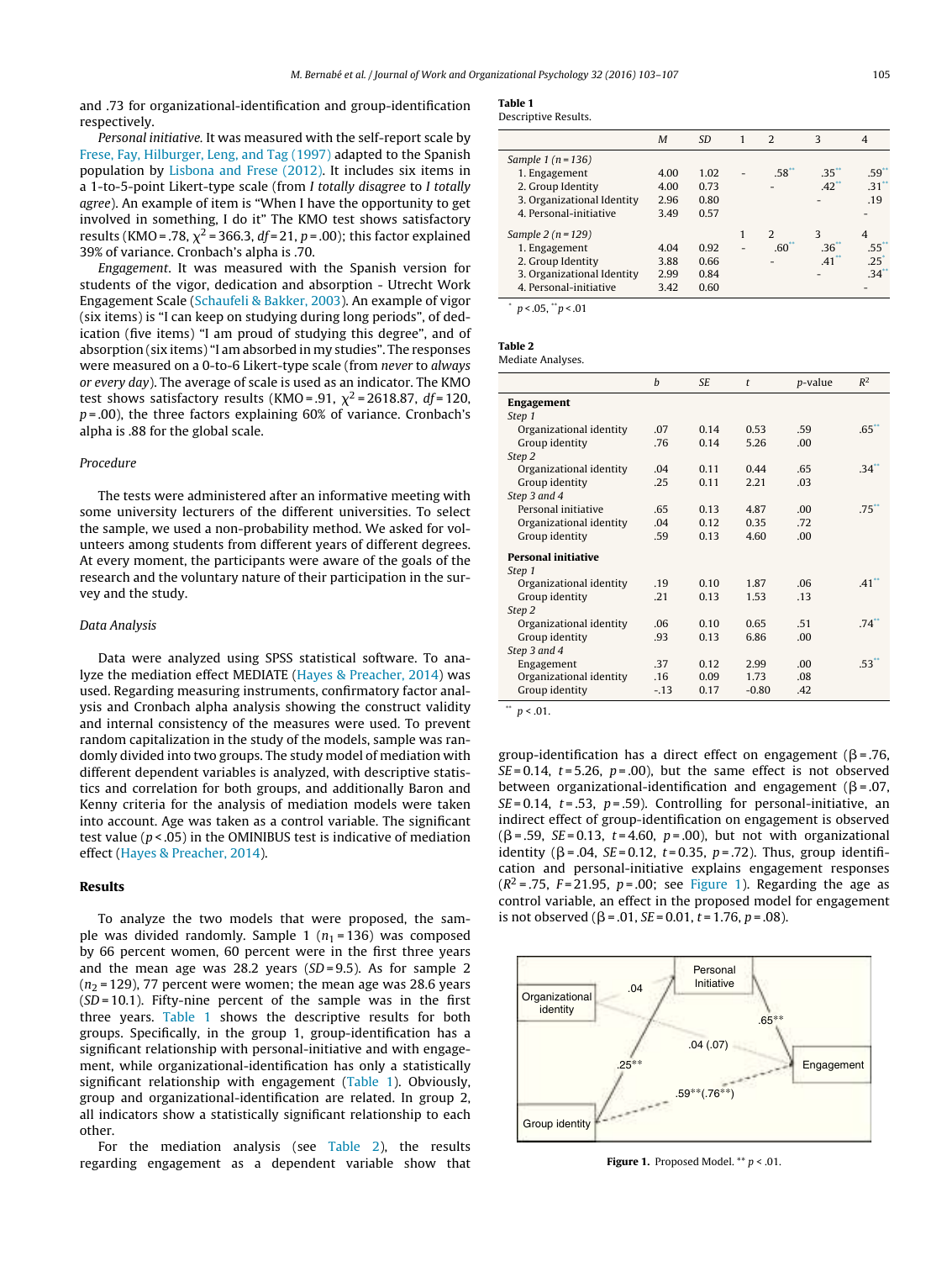<span id="page-2-0"></span>and .73 for organizational-identification and group-identification respectively.

Personal initiative. It was measured with the self-report scale by [Frese,](#page-4-0) [Fay,](#page-4-0) [Hilburger,](#page-4-0) [Leng,](#page-4-0) [and](#page-4-0) [Tag](#page-4-0) [\(1997\)](#page-4-0) adapted to the Spanish population by [Lisbona](#page-4-0) [and](#page-4-0) [Frese](#page-4-0) [\(2012\).](#page-4-0) It includes six items in a 1-to-5-point Likert-type scale (from I totally disagree to I totally agree). An example of item is "When I have the opportunity to get involved in something, I do it" The KMO test shows satisfactory results (KMO = .78,  $\chi^2$  = 366.3, *df* = 21, *p* = .00); this factor explained 39% of variance. Cronbach's alpha is .70.

Engagement. It was measured with the Spanish version for students of the vigor, dedication and absorption - Utrecht Work Engagement Scale ([Schaufeli](#page-4-0) [&](#page-4-0) [Bakker,](#page-4-0) [2003\).](#page-4-0) An example of vigor (six items) is "I can keep on studying during long periods", of dedication (five items) "I am proud of studying this degree", and of absorption (six items) "I am absorbed in my studies". The responses were measured on a 0-to-6 Likert-type scale (from never to always or every day). The average of scale is used as an indicator. The KMO test shows satisfactory results (KMO = .91,  $\chi^2$  = 2618.87, df = 120,  $p = .00$ ), the three factors explaining 60% of variance. Cronbach's alpha is .88 for the global scale.

# Procedure

The tests were administered after an informative meeting with some university lecturers of the different universities. To select the sample, we used a non-probability method. We asked for volunteers among students from different years of different degrees. At every moment, the participants were aware of the goals of the research and the voluntary nature of their participation in the survey and the study.

#### Data Analysis

Data were analyzed using SPSS statistical software. To analyze the mediation effect MEDIATE ([Hayes](#page-4-0) [&](#page-4-0) [Preacher,](#page-4-0) [2014\)](#page-4-0) was used. Regarding measuring instruments, confirmatory factor analysis and Cronbach alpha analysis showing the construct validity and internal consistency of the measures were used. To prevent random capitalization in the study of the models, sample was randomly divided into two groups. The study model of mediation with different dependent variables is analyzed, with descriptive statistics and correlation for both groups, and additionally Baron and Kenny criteria for the analysis of mediation models were taken into account. Age was taken as a control variable. The significant test value ( $p$  < .05) in the OMINIBUS test is indicative of mediation effect [\(Hayes](#page-4-0) [&](#page-4-0) [Preacher,](#page-4-0) [2014\).](#page-4-0)

# Results

To analyze the two models that were proposed, the sample was divided randomly. Sample 1 ( $n_1$  = 136) was composed by 66 percent women, 60 percent were in the first three years and the mean age was 28.2 years  $(SD=9.5)$ . As for sample 2  $(n<sub>2</sub> = 129)$ , 77 percent were women; the mean age was 28.6 years  $(SD = 10.1)$ . Fifty-nine percent of the sample was in the first three years. Table 1 shows the descriptive results for both groups. Specifically, in the group 1, group-identification has a significant relationship with personal-initiative and with engagement, while organizational-identification has only a statistically significant relationship with engagement (Table 1). Obviously, group and organizational-identification are related. In group 2, all indicators show a statistically significant relationship to each other.

For the mediation analysis (see Table 2), the results regarding engagement as a dependent variable show that

# Table 1

Descriptive Results.

|                            | M    | SD   | $\overline{2}$ | 3                   | 4                |
|----------------------------|------|------|----------------|---------------------|------------------|
| Sample 1 ( $n = 136$ )     |      |      |                |                     |                  |
| 1. Engagement              | 4.00 | 1.02 | $.58^{\circ}$  | $.35$ <sup>**</sup> | $.59^{+}$        |
| 2. Group Identity          | 4.00 | 0.73 |                | $.42$ <sup>**</sup> | $31^{*}$         |
| 3. Organizational Identity | 2.96 | 0.80 |                |                     | .19              |
| 4. Personal-initiative     | 3.49 | 0.57 |                |                     |                  |
| Sample $2(n = 129)$        |      |      | $\mathcal{D}$  | 3                   | 4                |
| 1. Engagement              | 4.04 | 0.92 | .60            | .36 <sup>2</sup>    | .55 <sup>2</sup> |
| 2. Group Identity          | 3.88 | 0.66 |                | $.41$ <sup>**</sup> | $.25^{\degree}$  |
| 3. Organizational Identity | 2.99 | 0.84 |                |                     | $.34^{+}$        |
| 4. Personal-initiative     | 3.42 | 0.60 |                |                     |                  |

 $p < .05,$  \*\*  $p < .01$ 

| Table |  |  |
|-------|--|--|

Mediate Analyses.

|                            | b      | SE.  | $\mathbf{t}$ | p-value | $R^2$    |
|----------------------------|--------|------|--------------|---------|----------|
| Engagement                 |        |      |              |         |          |
| Step 1                     |        |      |              |         |          |
| Organizational identity    | .07    | 0.14 | 0.53         | .59     | $.65**$  |
| Group identity             | .76    | 0.14 | 5.26         | .00     |          |
| Step 2                     |        |      |              |         |          |
| Organizational identity    | .04    | 0.11 | 0.44         | .65     | $.34**$  |
| Group identity             | .25    | 0.11 | 2.21         | .03     |          |
| Step 3 and 4               |        |      |              |         |          |
| Personal initiative        | .65    | 0.13 | 4.87         | .00.    | $.75***$ |
| Organizational identity    | .04    | 0.12 | 0.35         | .72     |          |
| Group identity             | .59    | 0.13 | 4.60         | .00.    |          |
| <b>Personal initiative</b> |        |      |              |         |          |
| Step 1                     |        |      |              |         |          |
| Organizational identity    | .19    | 0.10 | 1.87         | .06     | $.41**$  |
| Group identity             | .21    | 0.13 | 1.53         | .13     |          |
| Step 2                     |        |      |              |         |          |
| Organizational identity    | .06    | 0.10 | 0.65         | .51     | $.74***$ |
| Group identity             | .93    | 0.13 | 6.86         | .00.    |          |
| Step 3 and 4               |        |      |              |         |          |
| Engagement                 | .37    | 0.12 | 2.99         | .00.    | $.53***$ |
| Organizational identity    | .16    | 0.09 | 1.73         | .08     |          |
| Group identity             | $-.13$ | 0.17 | $-0.80$      | .42     |          |

 $p < .01$ .

group-identification has a direct effect on engagement ( $\beta$ =.76,  $SE = 0.14$ ,  $t = 5.26$ ,  $p = .00$ ), but the same effect is not observed between organizational-identification and engagement ( $\beta = .07$ ,  $SE = 0.14$ ,  $t = .53$ ,  $p = .59$ ). Controlling for personal-initiative, an indirect effect of group-identification on engagement is observed  $(\beta = .59, \, SE = 0.13, t = 4.60, p = .00)$ , but not with organizational identity ( $\beta$  = .04, SE = 0.12, t = 0.35, p = .72). Thus, group identification and personal-initiative explains engagement responses  $(R^2 = .75, F = 21.95, p = .00;$  see Figure 1). Regarding the age as control variable, an effect in the proposed model for engagement is not observed ( $\beta$  = .01, *SE* = 0.01, *t* = 1.76, *p* = .08).



Figure 1. Proposed Model.  $**$   $p < .01$ .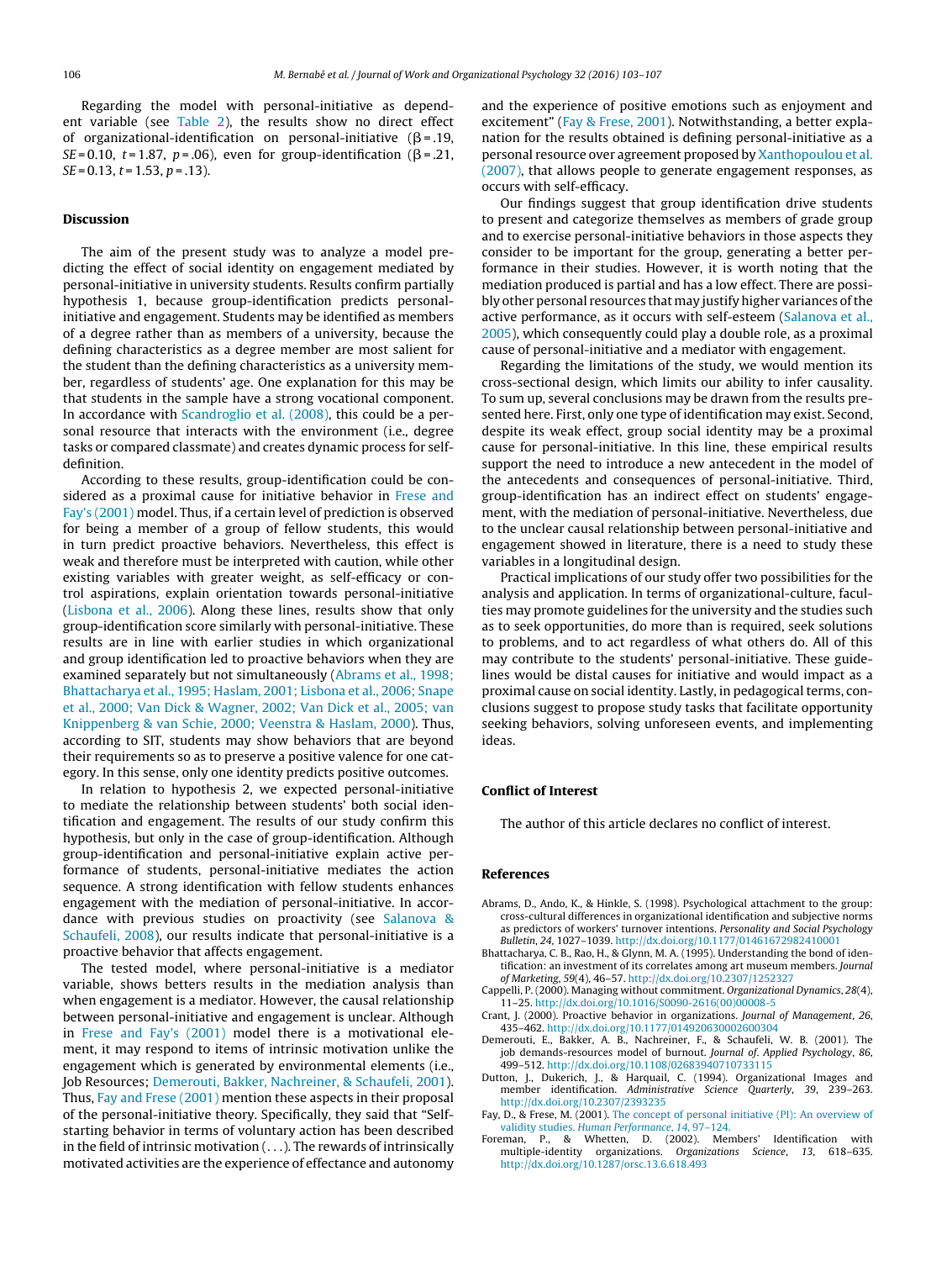<span id="page-3-0"></span>Regarding the model with personal-initiative as dependent variable (see [Table](#page-2-0) 2), the results show no direct effect of organizational-identification on personal-initiative  $(\beta = .19, )$ SE = 0.10, t = 1.87, p = .06), even for group-identification ( $\beta$  = .21,  $SE = 0.13$ ,  $t = 1.53$ ,  $p = .13$ ).

## Discussion

The aim of the present study was to analyze a model predicting the effect of social identity on engagement mediated by personal-initiative in university students. Results confirm partially hypothesis 1, because group-identification predicts personalinitiative and engagement. Students may be identified as members of a degree rather than as members of a university, because the defining characteristics as a degree member are most salient for the student than the defining characteristics as a university member, regardless of students' age. One explanation for this may be that students in the sample have a strong vocational component. In accordance with [Scandroglio](#page-4-0) et [al.](#page-4-0) [\(2008\),](#page-4-0) this could be a personal resource that interacts with the environment (i.e., degree tasks or compared classmate) and creates dynamic process for selfdefinition.

According to these results, group-identification could be considered as a proximal cause for initiative behavior in [Frese](#page-4-0) [and](#page-4-0) [Fay's](#page-4-0) [\(2001\)](#page-4-0) model. Thus, if a certain level of prediction is observed for being a member of a group of fellow students, this would in turn predict proactive behaviors. Nevertheless, this effect is weak and therefore must be interpreted with caution, while other existing variables with greater weight, as self-efficacy or control aspirations, explain orientation towards personal-initiative ([Lisbona](#page-4-0) et [al.,](#page-4-0) [2006\).](#page-4-0) Along these lines, results show that only group-identification score similarly with personal-initiative. These results are in line with earlier studies in which organizational and group identification led to proactive behaviors when they are examined separately but not simultaneously (Abrams et al., 1998; Bhattacharya et al., 1995; Haslam, 2001; Lisbona et al., 2006; Snape et al., 2000; Van Dick & Wagner, 2002; Van Dick et al., 2005; van Knippenberg & van Schie, 2000; Veenstra & Haslam, 2000). Thus, according to SIT, students may show behaviors that are beyond their requirements so as to preserve a positive valence for one category. In this sense, only one identity predicts positive outcomes.

In relation to hypothesis 2, we expected personal-initiative to mediate the relationship between students' both social identification and engagement. The results of our study confirm this hypothesis, but only in the case of group-identification. Although group-identification and personal-initiative explain active performance of students, personal-initiative mediates the action sequence. A strong identification with fellow students enhances engagement with the mediation of personal-initiative. In accordance with previous studies on proactivity (see [Salanova](#page-4-0) [&](#page-4-0) [Schaufeli,](#page-4-0) [2008\),](#page-4-0) our results indicate that personal-initiative is a proactive behavior that affects engagement.

The tested model, where personal-initiative is a mediator variable, shows betters results in the mediation analysis than when engagement is a mediator. However, the causal relationship between personal-initiative and engagement is unclear. Although in [Frese](#page-4-0) [and](#page-4-0) [Fay's](#page-4-0) [\(2001\)](#page-4-0) model there is a motivational element, it may respond to items of intrinsic motivation unlike the engagement which is generated by environmental elements (i.e., Job Resources; Demerouti, Bakker, Nachreiner, & Schaufeli, 2001). Thus, Fay and Frese (2001) mention these aspects in their proposal of the personal-initiative theory. Specifically, they said that "Selfstarting behavior in terms of voluntary action has been described in the field of intrinsic motivation (. . .). The rewards of intrinsically motivated activities are the experience of effectance and autonomy

and the experience of positive emotions such as enjoyment and excitement" (Fay & Frese, 2001). Notwithstanding, a better explanation for the results obtained is defining personal-initiative as a personal resource over agreement proposed by [Xanthopoulou](#page-4-0) et [al.](#page-4-0) [\(2007\),](#page-4-0) that allows people to generate engagement responses, as occurs with self-efficacy.

Our findings suggest that group identification drive students to present and categorize themselves as members of grade group and to exercise personal-initiative behaviors in those aspects they consider to be important for the group, generating a better performance in their studies. However, it is worth noting that the mediation produced is partial and has a low effect. There are possibly other personal resources that may justify higher variances ofthe active performance, as it occurs with self-esteem ([Salanova](#page-4-0) et [al.,](#page-4-0) [2005\),](#page-4-0) which consequently could play a double role, as a proximal cause of personal-initiative and a mediator with engagement.

Regarding the limitations of the study, we would mention its cross-sectional design, which limits our ability to infer causality. To sum up, several conclusions may be drawn from the results presented here. First, only one type of identification may exist. Second, despite its weak effect, group social identity may be a proximal cause for personal-initiative. In this line, these empirical results support the need to introduce a new antecedent in the model of the antecedents and consequences of personal-initiative. Third, group-identification has an indirect effect on students' engagement, with the mediation of personal-initiative. Nevertheless, due to the unclear causal relationship between personal-initiative and engagement showed in literature, there is a need to study these variables in a longitudinal design.

Practical implications of our study offer two possibilities for the analysis and application. In terms of organizational-culture, faculties may promote guidelines for the university and the studies such as to seek opportunities, do more than is required, seek solutions to problems, and to act regardless of what others do. All of this may contribute to the students' personal-initiative. These guidelines would be distal causes for initiative and would impact as a proximal cause on social identity. Lastly, in pedagogical terms, conclusions suggest to propose study tasks that facilitate opportunity seeking behaviors, solving unforeseen events, and implementing ideas.

# Conflict of Interest

The author of this article declares no conflict of interest.

#### References

- Abrams, D., Ando, K., & Hinkle, S. (1998). Psychological attachment to the group: cross-cultural differences in organizational identification and subjective norms as predictors of workers' turnover intentions. Personality and Social Psychology Bulletin, 24, 1027–1039. [http://dx.doi.org/10.1177/01461672982410001](dx.doi.org/10.1177/01461672982410001)
- Bhattacharya, C. B., Rao, H., & Glynn, M. A. (1995). Understanding the bond of identification: an investment of its correlates among art museum members. Journal of Marketing, 59(4), 46–57. [http://dx.doi.org/10.2307/1252327](dx.doi.org/10.2307/1252327)
- Cappelli, P. (2000). Managing without commitment. Organizational Dynamics, 28(4), 11–25. [http://dx.doi.org/10.1016/S0090-2616\(00\)00008-5](dx.doi.org/10.1016/S0090-2616(00)00008-5)
- Crant, J. (2000). Proactive behavior in organizations. Journal of Management, 26, 435–462. [http://dx.doi.org/10.1177/014920630002600304](dx.doi.org/10.1177/014920630002600304)
- Demerouti, E., Bakker, A. B., Nachreiner, F., & Schaufeli, W. B. (2001). The job demands-resources model of burnout. Journal of. Applied Psychology, 86, 499–512. [http://dx.doi.org/10.1108/02683940710733115](dx.doi.org/10.1108/02683940710733115)
- Dutton, J., Dukerich, J., & Harquail, C. (1994). Organizational Images and member identification. Administrative Science Quarterly, 39, 239–263. [http://dx.doi.org/10.2307/2393235](dx.doi.org/10.2307/2393235)
- Fay, D., & Frese, M. (2001). [The](http://refhub.elsevier.com/S1576-5962(16)00015-3/sbref0035) [concept](http://refhub.elsevier.com/S1576-5962(16)00015-3/sbref0035) [of](http://refhub.elsevier.com/S1576-5962(16)00015-3/sbref0035) [personal](http://refhub.elsevier.com/S1576-5962(16)00015-3/sbref0035) [initiative](http://refhub.elsevier.com/S1576-5962(16)00015-3/sbref0035) [\(PI\):](http://refhub.elsevier.com/S1576-5962(16)00015-3/sbref0035) [An](http://refhub.elsevier.com/S1576-5962(16)00015-3/sbref0035) [overview](http://refhub.elsevier.com/S1576-5962(16)00015-3/sbref0035) [of](http://refhub.elsevier.com/S1576-5962(16)00015-3/sbref0035) [validity](http://refhub.elsevier.com/S1576-5962(16)00015-3/sbref0035) [studies.](http://refhub.elsevier.com/S1576-5962(16)00015-3/sbref0035) [Human](http://refhub.elsevier.com/S1576-5962(16)00015-3/sbref0035) [Performance](http://refhub.elsevier.com/S1576-5962(16)00015-3/sbref0035), [14](http://refhub.elsevier.com/S1576-5962(16)00015-3/sbref0035)[,](http://refhub.elsevier.com/S1576-5962(16)00015-3/sbref0035) [97](http://refhub.elsevier.com/S1576-5962(16)00015-3/sbref0035)–[124.](http://refhub.elsevier.com/S1576-5962(16)00015-3/sbref0035)
- Foreman, P., & Whetten, D. (2002). Members' Identification with multiple-identity organizations. Organizations Science, 13, 618–635. [http://dx.doi.org/10.1287/orsc.13.6.618.493](dx.doi.org/10.1287/orsc.13.6.618.493)